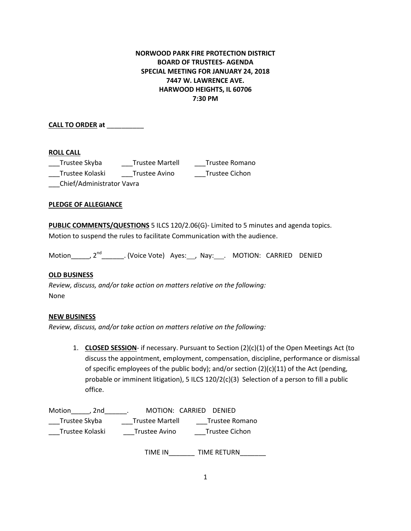# **NORWOOD PARK FIRE PROTECTION DISTRICT BOARD OF TRUSTEES- AGENDA SPECIAL MEETING FOR JANUARY 24, 2018 7447 W. LAWRENCE AVE. HARWOOD HEIGHTS, IL 60706 7:30 PM**

**CALL TO ORDER at** \_\_\_\_\_\_\_\_\_\_

## **ROLL CALL**

| Trustee Skyba             | <b>Trustee Martell</b> | Trustee Romano |
|---------------------------|------------------------|----------------|
| Trustee Kolaski           | Trustee Avino          | Trustee Cichon |
| Chief/Administrator Vavra |                        |                |

### **PLEDGE OF ALLEGIANCE**

**PUBLIC COMMENTS/QUESTIONS** 5 ILCS 120/2.06(G)- Limited to 5 minutes and agenda topics. Motion to suspend the rules to facilitate Communication with the audience.

Motion\_\_\_\_\_\_, 2<sup>nd</sup>\_\_\_\_\_\_\_\_. (Voice Vote) Ayes:\_\_\_, Nay:\_\_\_\_. MOTION: CARRIED DENIED

### **OLD BUSINESS**

*Review, discuss, and/or take action on matters relative on the following:* None

#### **NEW BUSINESS**

*Review, discuss, and/or take action on matters relative on the following:*

1. **CLOSED SESSION**- if necessary. Pursuant to Section (2)(c)(1) of the Open Meetings Act (to discuss the appointment, employment, compensation, discipline, performance or dismissal of specific employees of the public body); and/or section  $(2)(c)(11)$  of the Act (pending, probable or imminent litigation), 5 ILCS 120/2(c)(3) Selection of a person to fill a public office.

| Motion<br>. 2nd | MOTION: CARRIED DENIED |                |
|-----------------|------------------------|----------------|
| Trustee Skyba   | <b>Trustee Martell</b> | Trustee Romano |
| Trustee Kolaski | Trustee Avino          | Trustee Cichon |

TIME IN TIME RETURN